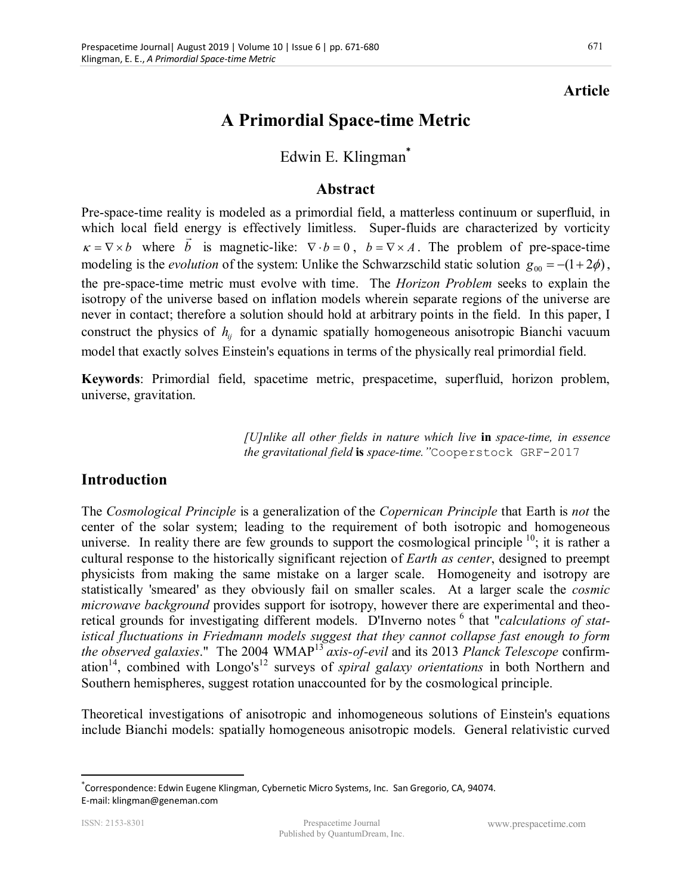# **Article**

# **A Primordial Space-time Metric**

# Edwin E. Klingman**\***

## **Abstract**

Pre-space-time reality is modeled as a primordial field, a matterless continuum or superfluid, in which local field energy is effectively limitless. Super-fluids are characterized by vorticity  $k = \nabla \times b$  where *b* is magnetic-like:  $\nabla \cdot b = 0$ ,  $b = \nabla \times A$ . The problem of pre-space-time modeling is the *evolution* of the system: Unlike the Schwarzschild static solution  $g_{00} = -(1 + 2\phi)$ , the pre-space-time metric must evolve with time. The *Horizon Problem* seeks to explain the isotropy of the universe based on inflation models wherein separate regions of the universe are never in contact; therefore a solution should hold at arbitrary points in the field. In this paper, I construct the physics of  $h_i$  for a dynamic spatially homogeneous anisotropic Bianchi vacuum model that exactly solves Einstein's equations in terms of the physically real primordial field.

**Keywords**: Primordial field, spacetime metric, prespacetime, superfluid, horizon problem, universe, gravitation.

> *[U]nlike all other fields in nature which live* **in** *space-time, in essence the gravitational field* **is** *space-time."*Cooperstock GRF-2017

## **Introduction**

The *Cosmological Principle* is a generalization of the *Copernican Principle* that Earth is *not* the center of the solar system; leading to the requirement of both isotropic and homogeneous universe. In reality there are few grounds to support the cosmological principle<sup>10</sup>; it is rather a cultural response to the historically significant rejection of *Earth as center*, designed to preempt physicists from making the same mistake on a larger scale. Homogeneity and isotropy are statistically 'smeared' as they obviously fail on smaller scales. At a larger scale the *cosmic microwave background* provides support for isotropy, however there are experimental and theoretical grounds for investigating different models. D'Inverno notes <sup>6</sup> that "*calculations of statistical fluctuations in Friedmann models suggest that they cannot collapse fast enough to form the observed galaxies*." The 2004 WMAP<sup>13</sup>*axis-of-evil* and its 2013 *Planck Telescope* confirmation<sup>14</sup>, combined with Longo's<sup>12</sup> surveys of *spiral galaxy orientations* in both Northern and Southern hemispheres, suggest rotation unaccounted for by the cosmological principle.

Theoretical investigations of anisotropic and inhomogeneous solutions of Einstein's equations include Bianchi models: spatially homogeneous anisotropic models. General relativistic curved

 $\overline{a}$ 

<sup>\*</sup> Correspondence: Edwin Eugene Klingman, Cybernetic Micro Systems, Inc. San Gregorio, CA, 94074. E-mail: klingman@geneman.com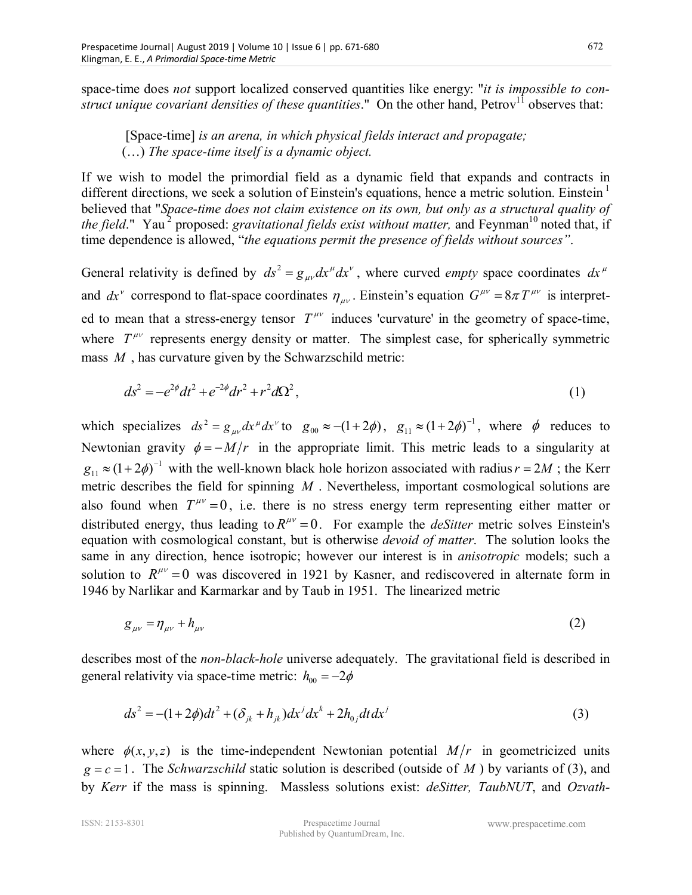space-time does *not* support localized conserved quantities like energy: "*it is impossible to construct unique covariant densities of these quantities*." On the other hand, Petrov<sup>11</sup> observes that:

 [Space-time] *is an arena, in which physical fields interact and propagate;*  (…) *The space-time itself is a dynamic object.* 

If we wish to model the primordial field as a dynamic field that expands and contracts in different directions, we seek a solution of Einstein's equations, hence a metric solution. Einstein $\frac{1}{1}$ believed that "*Space-time does not claim existence on its own, but only as a structural quality of the field*." Yau<sup>2</sup> proposed: *gravitational fields exist without matter*, and Feynman<sup>10</sup> noted that, if time dependence is allowed, "*the equations permit the presence of fields without sources"*.

General relativity is defined by  $ds^2 = g_{\mu\nu} dx^\mu dx^\nu$ , where curved *empty* space coordinates  $dx^\mu$ and  $dx^{\nu}$  correspond to flat-space coordinates  $\eta_{\mu\nu}$ . Einstein's equation  $G^{\mu\nu} = 8\pi T^{\mu\nu}$  is interpreted to mean that a stress-energy tensor  $T^{\mu\nu}$  induces 'curvature' in the geometry of space-time, where  $T^{\mu\nu}$  represents energy density or matter. The simplest case, for spherically symmetric mass *M* , has curvature given by the Schwarzschild metric:

$$
ds^2 = -e^{2\phi}dt^2 + e^{-2\phi}dr^2 + r^2d\Omega^2,
$$
\n(1)

which specializes  $ds^2 = g_{\mu\nu} dx^{\mu} dx^{\nu}$  to  $g_{00} \approx -(1+2\phi)$ ,  $g_{11} \approx (1+2\phi)^{-1}$ , where  $\phi$  reduces to Newtonian gravity  $\phi = -M/r$  in the appropriate limit. This metric leads to a singularity at  $g_{11} \approx (1 + 2\phi)^{-1}$  with the well-known black hole horizon associated with radius  $r = 2M$ ; the Kerr metric describes the field for spinning *M* . Nevertheless, important cosmological solutions are also found when  $T^{\mu\nu} = 0$ , i.e. there is no stress energy term representing either matter or distributed energy, thus leading to  $R^{\mu\nu} = 0$ . For example the *deSitter* metric solves Einstein's equation with cosmological constant, but is otherwise *devoid of matter*. The solution looks the same in any direction, hence isotropic; however our interest is in *anisotropic* models; such a solution to  $R^{\mu\nu} = 0$  was discovered in 1921 by Kasner, and rediscovered in alternate form in 1946 by Narlikar and Karmarkar and by Taub in 1951. The linearized metric

$$
g_{\mu\nu} = \eta_{\mu\nu} + h_{\mu\nu} \tag{2}
$$

describes most of the *non-black-hole* universe adequately. The gravitational field is described in general relativity via space-time metric:  $h_{00} = -2\phi$ 

$$
ds^{2} = -(1+2\phi)dt^{2} + (\delta_{jk} + h_{jk})dx^{j}dx^{k} + 2h_{0j}dt dx^{j}
$$
\n(3)

where  $\phi(x, y, z)$  is the time-independent Newtonian potential  $M/r$  in geometricized units  $g = c = 1$ . The *Schwarzschild* static solution is described (outside of *M*) by variants of (3), and by *Kerr* if the mass is spinning. Massless solutions exist: *deSitter, TaubNUT*, and *Ozvath-*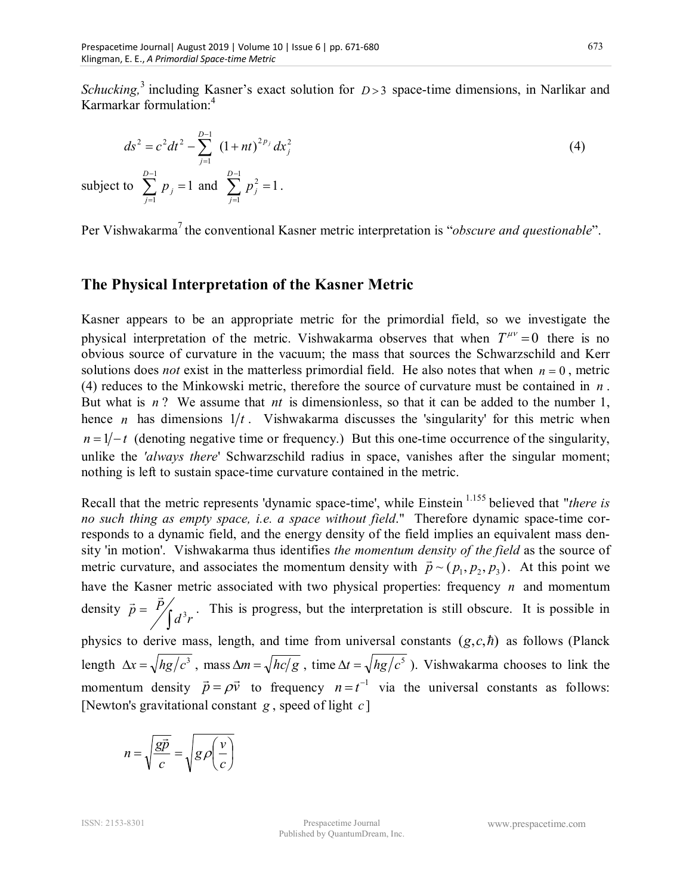*Schucking*,<sup>3</sup> including Kasner's exact solution for *D* > 3 space-time dimensions, in Narlikar and Karmarkar formulation:<sup>4</sup>

$$
ds^{2} = c^{2}dt^{2} - \sum_{j=1}^{D-1} (1 + nt)^{2p_{j}} dx_{j}^{2}
$$
 (4)

subject to  $\sum_{i=1}^{D-1} p_i = 1$  $\sum_{j=1}^{D-1}\,p_{\,j}=$ = *D j*  $p_j = 1$  and  $\sum_{j=1}^{D-1} p_j^2 = 1$  $\sum_{j=1}^{D-1} p_j^2 =$ = *D j*

Per Vishwakarma<sup>7</sup> the conventional Kasner metric interpretation is "*obscure and questionable*".

#### **The Physical Interpretation of the Kasner Metric**

 $p_j^2 = 1$ .

Kasner appears to be an appropriate metric for the primordial field, so we investigate the physical interpretation of the metric. Vishwakarma observes that when  $T^{\mu\nu} = 0$  there is no obvious source of curvature in the vacuum; the mass that sources the Schwarzschild and Kerr solutions does *not* exist in the matterless primordial field. He also notes that when  $n = 0$ , metric (4) reduces to the Minkowski metric, therefore the source of curvature must be contained in *n* . But what is *n* ? We assume that *nt* is dimensionless, so that it can be added to the number 1, hence *n* has dimensions  $1/t$ . Vishwakarma discusses the 'singularity' for this metric when  $n = 1/-t$  (denoting negative time or frequency.) But this one-time occurrence of the singularity, unlike the *'always there*' Schwarzschild radius in space, vanishes after the singular moment; nothing is left to sustain space-time curvature contained in the metric.

Recall that the metric represents 'dynamic space-time', while Einstein<sup>1.155</sup> believed that "*there is no such thing as empty space, i.e. a space without field*." Therefore dynamic space-time corresponds to a dynamic field, and the energy density of the field implies an equivalent mass density 'in motion'. Vishwakarma thus identifies *the momentum density of the field* as the source of metric curvature, and associates the momentum density with  $\vec{p} \sim (p_1, p_2, p_3)$ . At this point we have the Kasner metric associated with two physical properties: frequency *n* and momentum density  $\vec{p} = \frac{P}{\sqrt{2}}$  $d^3r$  $\vec{p} = P_{\int d^3}$  $\rightarrow$ . This is progress, but the interpretation is still obscure. It is possible in physics to derive mass, length, and time from universal constants  $(g, c, \hbar)$  as follows (Planck

length  $\Delta x = \sqrt{hg/c^3}$ , mass  $\Delta m = \sqrt{hc/g}$ , time  $\Delta t = \sqrt{hg/c^5}$ ). Vishwakarma chooses to link the momentum density  $\vec{p} = \rho \vec{v}$ ------- –<br>→ <del>→</del>  $=\rho \vec{v}$  to frequency  $n = t^{-1}$  via the universal constants as follows: [Newton's gravitational constant *g* , speed of light *c* ]

$$
n = \sqrt{\frac{g\vec{p}}{c}} = \sqrt{g\rho \left(\frac{v}{c}\right)}
$$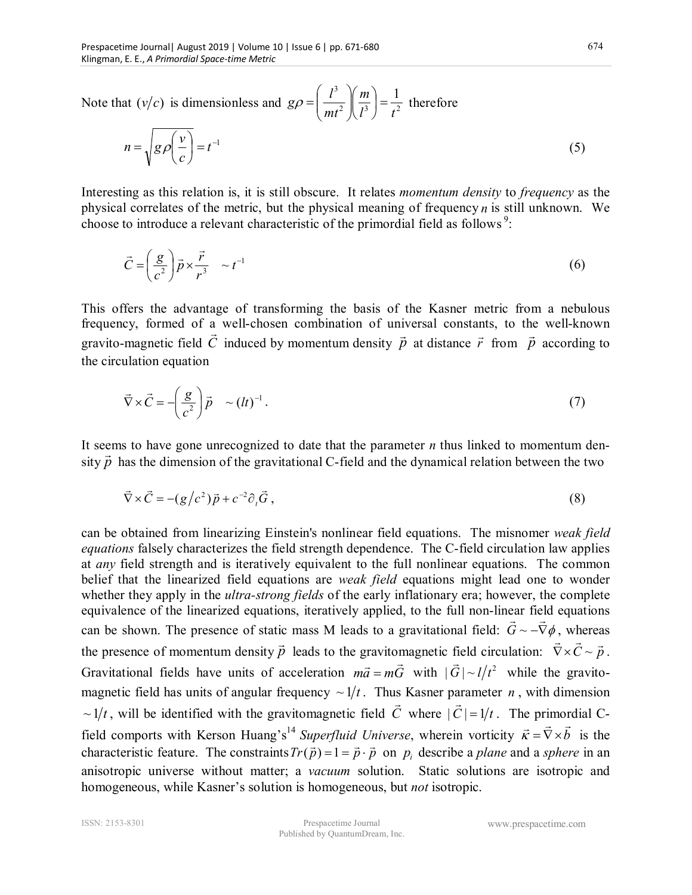Note that  $(v/c)$  is dimensionless and  $g\rho = \frac{v}{m t^2} \left| \frac{dv}{l^3} \right| = \frac{1}{t^2}$ <sup>3</sup>  $\binom{m}{1}$  1 *l t m mt*  $g\rho = \left(\frac{l^3}{l^3}\right)\left(\frac{m}{l^3}\right) =$ J  $\left(\frac{m}{r^3}\right)$  $\setminus$ ſ  $\overline{\phantom{a}}$  $\bigg)$  $\setminus$  $\overline{\phantom{a}}$  $\setminus$ ſ  $\left[\rho=\left|\frac{t}{r^2}\right|\right]\frac{m}{r^3}$  =  $\frac{1}{r^2}$  therefore  $= t^{-1}$ J  $\left(\frac{v}{v}\right)$  $\setminus$  $=\sqrt{g\rho\left(\frac{v}{-}\right)}=t$ *c*  $n = \sqrt{g} \rho \left( \frac{v}{v} \right) = t^{-1}$  (5)

Interesting as this relation is, it is still obscure. It relates *momentum density* to *frequency* as the physical correlates of the metric, but the physical meaning of frequency *n* is still unknown. We choose to introduce a relevant characteristic of the primordial field as follows<sup>9</sup>:

$$
\vec{C} = \left(\frac{g}{c^2}\right)\vec{p} \times \frac{\vec{r}}{r^3} \sim t^{-1}
$$
 (6)

This offers the advantage of transforming the basis of the Kasner metric from a nebulous frequency, formed of a well-chosen combination of universal constants, to the well-known gravito-magnetic field  $\dot{C}$  induced by momentum density  $\vec{p}$ .⊥<br>→ at distance *r* .<br>→ from  $\vec{p}$ —<br>→ according to the circulation equation

$$
\vec{\nabla} \times \vec{C} = -\left(\frac{g}{c^2}\right) \vec{p} \sim (lt)^{-1}.
$$
 (7)

It seems to have gone unrecognized to date that the parameter  $n$  thus linked to momentum density  $\vec{p}$  has the dimension of the gravitational C-field and the dynamical relation between the two

$$
\vec{\nabla} \times \vec{C} = -(g/c^2)\vec{p} + c^{-2}\partial_t\vec{G}, \qquad (8)
$$

can be obtained from linearizing Einstein's nonlinear field equations. The misnomer *weak field equations* falsely characterizes the field strength dependence. The C-field circulation law applies at *any* field strength and is iteratively equivalent to the full nonlinear equations. The common belief that the linearized field equations are *weak field* equations might lead one to wonder whether they apply in the *ultra-strong fields* of the early inflationary era; however, the complete equivalence of the linearized equations, iteratively applied, to the full non-linear field equations can be shown. The presence of static mass M leads to a gravitational field:  $G \sim -\nabla \phi$ , whereas the presence of momentum density  $\vec{p}$  $\ddot{\phantom{a}}$ leads to the gravitomagnetic field circulation:  $\nabla \times C \sim \vec{p}$  $\therefore$  where  $\therefore$  $\nabla \times \vec{C} \sim \vec{p}$ . Gravitational fields have units of acceleration  $m\vec{a} = mG$  $ar $\frac{1}{2}$$  $=m\vec{G}$  with  $|\vec{G}| \sim l/t^2$ ⊥<br>→ while the gravitomagnetic field has units of angular frequency  $\sim 1/t$ . Thus Kasner parameter *n*, with dimension  $\sim$  1/t, will be identified with the gravitomagnetic field C د.<br>← where  $|C| = 1/t$ u<br>→ . The primordial Cfield comports with Kerson Huang's<sup>14</sup> Superfluid Universe, wherein vorticity  $\vec{k} = \vec{\nabla} \times \vec{b}$  $\therefore$  primor  $\vec{k} = \nabla \times b$  is the characteristic feature. The constraints  $Tr(\vec{p}) = 1 = \vec{p} \cdot \vec{p}$  $i$  r  $r$   $\rightarrow$   $r$   $\rightarrow$   $r$   $\rightarrow$   $r$   $\rightarrow$  $(\vec{p}) = 1 = \vec{p} \cdot \vec{p}$  on  $p_i$  describe a *plane* and a *sphere* in an anisotropic universe without matter; a *vacuum* solution. Static solutions are isotropic and homogeneous, while Kasner's solution is homogeneous, but *not* isotropic.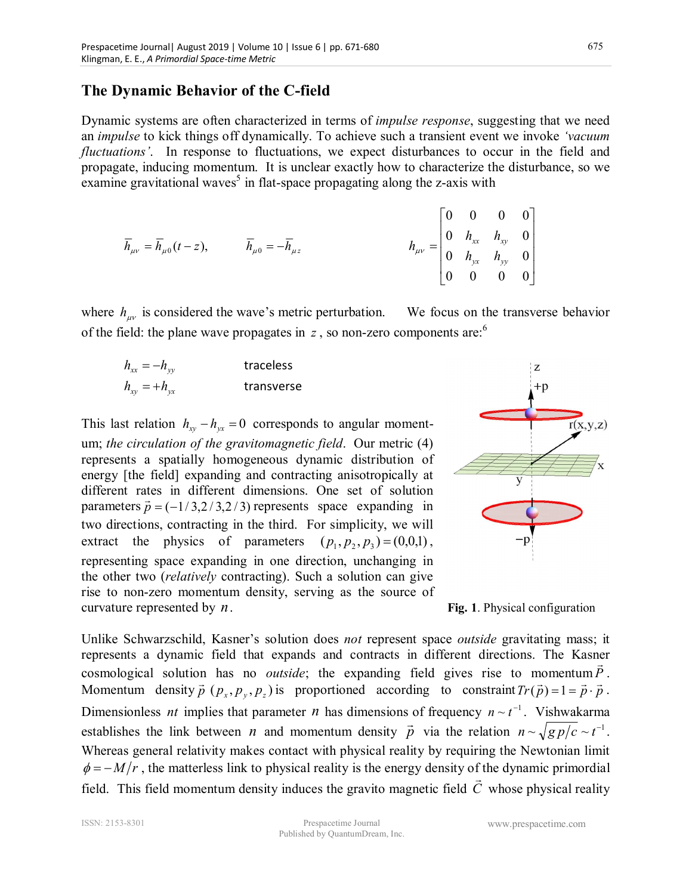#### **The Dynamic Behavior of the C-field**

Dynamic systems are often characterized in terms of *impulse response*, suggesting that we need an *impulse* to kick things off dynamically. To achieve such a transient event we invoke *'vacuum fluctuations'*. In response to fluctuations, we expect disturbances to occur in the field and propagate, inducing momentum. It is unclear exactly how to characterize the disturbance, so we examine gravitational waves<sup>5</sup> in flat-space propagating along the z-axis with

$$
\overline{h}_{\mu\nu} = \overline{h}_{\mu 0}(t - z), \qquad \overline{h}_{\mu 0} = -\overline{h}_{\mu z} \qquad h_{\mu\nu} = \begin{bmatrix} 0 & 0 & 0 & 0 \\ 0 & h_{xx} & h_{xy} & 0 \\ 0 & h_{yx} & h_{yy} & 0 \\ 0 & 0 & 0 & 0 \end{bmatrix}
$$

where  $h_{\mu\nu}$  is considered the wave's metric perturbation. We focus on the transverse behavior of the field: the plane wave propagates in *z*, so non-zero components are:<sup>6</sup>

| $h_{xx} = -h_{yy}$ | traceless  |
|--------------------|------------|
| $h_{xy} = +h_{yx}$ | transverse |

This last relation  $h_{xy} - h_{yx} = 0$  corresponds to angular momentum; *the circulation of the gravitomagnetic field*. Our metric (4) represents a spatially homogeneous dynamic distribution of energy [the field] expanding and contracting anisotropically at different rates in different dimensions. One set of solution parameters  $\vec{p} = (-1/3, 2/3, 2/3)$  represents space expanding in two directions, contracting in the third. For simplicity, we will extract the physics of parameters  $(p_1, p_2, p_3) = (0,0,1)$ , representing space expanding in one direction, unchanging in the other two (*relatively* contracting). Such a solution can give rise to non-zero momentum density, serving as the source of curvature represented by *n*. **Fig. 1**. Physical configuration



Unlike Schwarzschild, Kasner's solution does *not* represent space *outside* gravitating mass; it represents a dynamic field that expands and contracts in different directions. The Kasner cosmological solution has no *outside*; the expanding field gives rise to momentum  $P$ . Momentum density  $\vec{p}$  ( $p_x$ ,  $p_y$ ,  $p_z$ ) is proportioned according to constraint  $Tr(\vec{p}) = 1 = \vec{p} \cdot \vec{p}$ . Dimensionless *nt* implies that parameter *n* has dimensions of frequency  $n \sim t^{-1}$ . Vishwakarma establishes the link between  $n$  and momentum density  $\vec{p}$  $\overline{a}$ via the relation  $n \sim \sqrt{g p/c} \sim t^{-1}$ . Whereas general relativity makes contact with physical reality by requiring the Newtonian limit  $\phi = -M/r$ , the matterless link to physical reality is the energy density of the dynamic primordial field. This field momentum density induces the gravito magnetic field *C* whose physical reality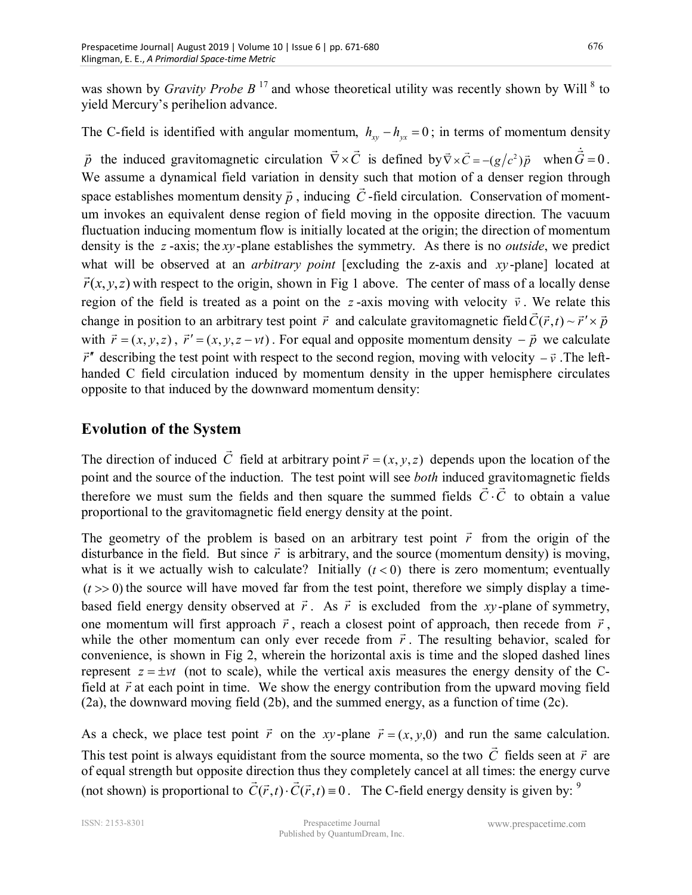was shown by *Gravity Probe B*<sup>17</sup> and whose theoretical utility was recently shown by Will<sup>8</sup> to yield Mercury's perihelion advance.

## The C-field is identified with angular momentum,  $h_{xy} - h_{yx} = 0$ ; in terms of momentum density

*p*  $\rightarrow$ the induced gravitomagnetic circulation  $\nabla \times C$  $\overline{r}$  $\vec{\nabla} \times \vec{C}$  is defined by  $\vec{\nabla} \times \vec{C} = -(g/c^2)\vec{p}$  $\vec{\nabla} \times \vec{C} = -(g/c^2)\vec{p}$  when  $\dot{\vec{G}} = 0$ . We assume a dynamical field variation in density such that motion of a denser region through space establishes momentum density *p*  $\ddot{\phantom{0}}$ , inducing *C* -field circulation. Conservation of momentum invokes an equivalent dense region of field moving in the opposite direction. The vacuum fluctuation inducing momentum flow is initially located at the origin; the direction of momentum density is the *z* -axis; the *xy* -plane establishes the symmetry. As there is no *outside*, we predict what will be observed at an *arbitrary point* [excluding the z-axis and *xy*-plane] located at  $\vec{r}(x, y, z)$  with respect to the origin, shown in Fig 1 above. The center of mass of a locally dense region of the field is treated as a point on the *z*-axis moving with velocity  $\vec{v}$ . We relate this  $\vec{v}$ change in position to an arbitrary test point *r*  $\ddot{\phantom{0}}$ and calculate gravitomagnetic field  $C(\vec{r}, t) \sim \vec{r}' \times \vec{p}$  $\therefore$  referred that  $(\vec{r},t) \sim \vec{r}' \times \vec{p}$ with  $\vec{r} = (x, y, z)$ ∶<br>⊣  $\vec{r}$   $' = (x, y, z - vt)$  $\ddot{\ }$ . For equal and opposite momentum density  $-\vec{p}$  $\overline{a}$  $-\vec{p}$  we calculate *r* vv<br>→ describing the test point with respect to the second region, moving with velocity  $-\vec{v}$ . The lefthanded C field circulation induced by momentum density in the upper hemisphere circulates opposite to that induced by the downward momentum density:

## **Evolution of the System**

The direction of induced *C*  $\rightarrow$ field at arbitrary point  $\vec{r}$  =  $(x, y, z)$  $\rightarrow$  depends upon the location of the point and the source of the induction. The test point will see *both* induced gravitomagnetic fields therefore we must sum the fields and then square the summed fields  $\hat{C} \cdot \hat{C}$  to obtain a value proportional to the gravitomagnetic field energy density at the point.

The geometry of the problem is based on an arbitrary test point *r* r based on an arbitrary test point  $\vec{r}$  from the origin of the disturbance in the field. But since  $\vec{r}$  is arbitrary, and the source (momentum density) is moving, what is it we actually wish to calculate? Initially  $(t < 0)$  there is zero momentum; eventually  $(t \gg 0)$  the source will have moved far from the test point, therefore we simply display a timebased field energy density observed at *r*  $\overline{ }$ . As *r*  $\ddot{\ }$ at  $\vec{r}$ . As  $\vec{r}$  is excluded from the *xy*-plane of symmetry, one momentum will first approach  $\vec{r}$ , reach a closest point of approach, then recede from  $\vec{r}$ , while the other momentum can only ever recede from  $\vec{r}$ . The resulting behavior, scaled for convenience, is shown in Fig 2, wherein the horizontal axis is time and the sloped dashed lines represent  $z = \pm vt$  (not to scale), while the vertical axis measures the energy density of the Cfield at  $\vec{r}$  at each point in time. We show the energy contribution from the upward moving field (2a), the downward moving field (2b), and the summed energy, as a function of time (2c).

As a check, we place test point *r*  $\rightarrow$ on the *xy*-plane  $\vec{r} = (x, y, 0)$  $\overline{\phantom{a}}$ and run the same calculation. This test point is always equidistant from the source momenta, so the two *C* fields seen at *r* r are of equal strength but opposite direction thus they completely cancel at all times: the energy curve r (not shown) is proportional to  $C(\vec{r},t)\cdot C(\vec{r},t) \equiv 0$  $r \propto \vec{a}$ . The C-field energy density is given by:  $9$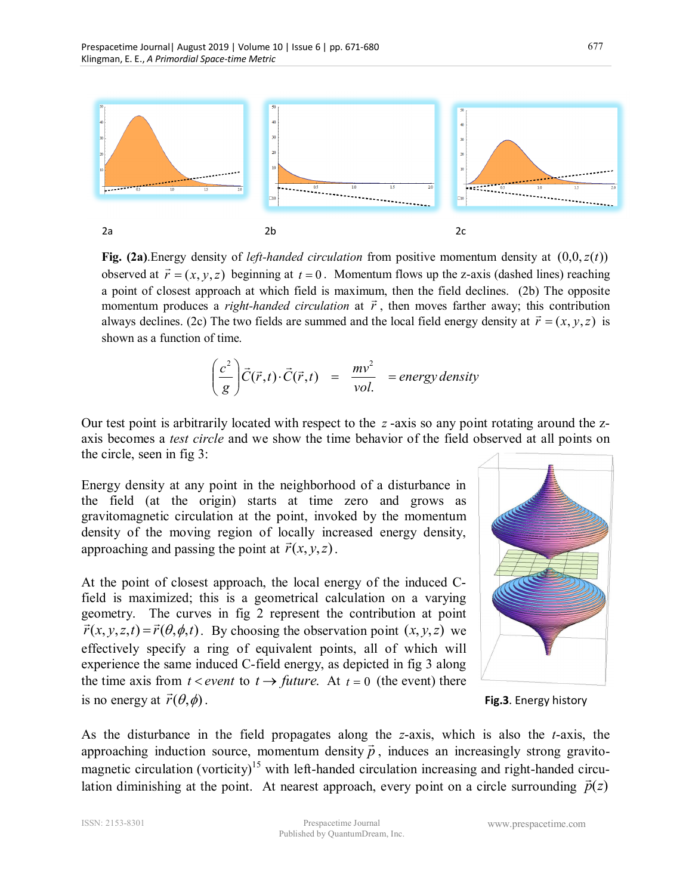

**Fig. (2a)**.Energy density of *left-handed circulation* from positive momentum density at  $(0,0, z(t))$ observed at  $\vec{r} = (x, y, z)$  beginning at  $t = 0$ . Momentum flows up the z-axis (dashed lines) reaching a point of closest approach at which field is maximum, then the field declines. (2b) The opposite momentum produces a *right-handed circulation* at  $\vec{r}$ , then moves farther away; this contribution always declines. (2c) The two fields are summed and the local field energy density at  $\vec{r} = (x, y, z)$  is shown as a function of time.

$$
\left(\frac{c^2}{g}\right) \vec{C}(\vec{r},t) \cdot \vec{C}(\vec{r},t) = \frac{mv^2}{vol.} = energy density
$$

Our test point is arbitrarily located with respect to the *z* -axis so any point rotating around the zaxis becomes a *test circle* and we show the time behavior of the field observed at all points on the circle, seen in fig 3:

Energy density at any point in the neighborhood of a disturbance in the field (at the origin) starts at time zero and grows as gravitomagnetic circulation at the point, invoked by the momentum density of the moving region of locally increased energy density, approaching and passing the point at  $\vec{r}(x, y, z)$ .

At the point of closest approach, the local energy of the induced Cfield is maximized; this is a geometrical calculation on a varying geometry. The curves in fig 2 represent the contribution at point  $\vec{r}(x, y, z, t) = \vec{r}(\theta, \phi, t)$ . By choosing the observation point  $(x, y, z)$  we effectively specify a ring of equivalent points, all of which will experience the same induced C-field energy, as depicted in fig 3 along the time axis from  $t < event$  to  $t \rightarrow future$ . At  $t = 0$  (the event) there is no energy at  $\vec{r}(\theta,\phi)$ .



. **Fig.3**. Energy history

As the disturbance in the field propagates along the *z*-axis, which is also the *t*-axis, the r approaching induction source, momentum density  $\vec{p}$ , induces an increasingly strong gravitomagnetic circulation (vorticity)<sup>15</sup> with left-handed circulation increasing and right-handed circulation diminishing at the point. At nearest approach, every point on a circle surrounding  $\vec{p}(z)$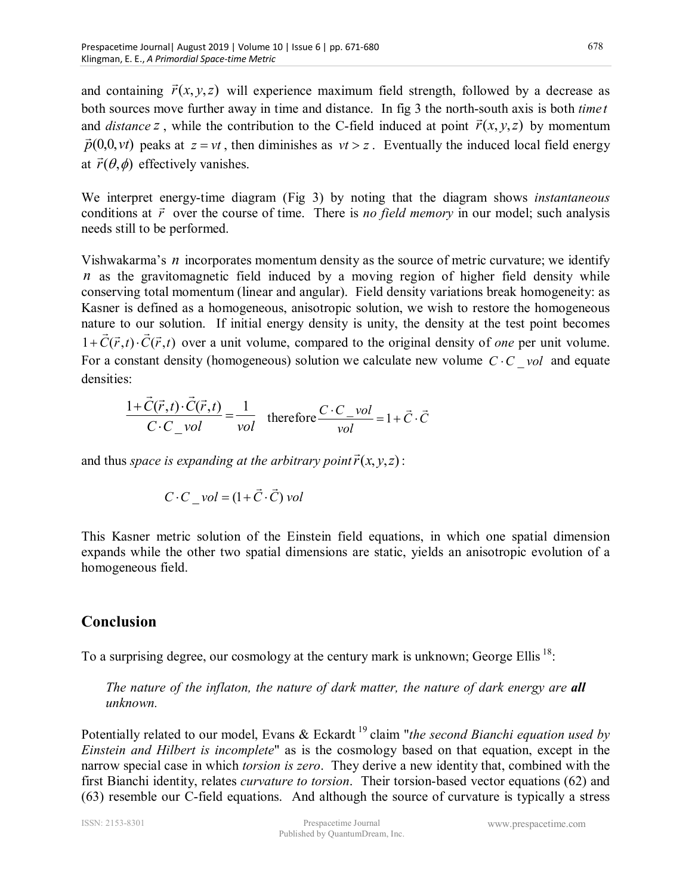and containing  $\vec{r}(x, y, z)$  $\rightarrow$  will experience maximum field strength, followed by a decrease as both sources move further away in time and distance. In fig 3 the north-south axis is both *time t* and *distance z*, while the contribution to the C-field induced at point  $\vec{r}(x, y, z)$  by momentum  $\vec{p}(0,0,vt)$  peaks at  $z = vt$ , then diminishes as  $vt > z$ . Eventually the induced local field energy at  $\vec{r}(\theta, \phi)$  effectively vanishes.

We interpret energy-time diagram (Fig 3) by noting that the diagram shows *instantaneous* conditions at  $\vec{r}$  over the course of time. There is *no field memory* in our model; such analysis needs still to be performed.

Vishwakarma's *n* incorporates momentum density as the source of metric curvature; we identify *n* as the gravitomagnetic field induced by a moving region of higher field density while conserving total momentum (linear and angular). Field density variations break homogeneity: as Kasner is defined as a homogeneous, anisotropic solution, we wish to restore the homogeneous nature to our solution. If initial energy density is unity, the density at the test point becomes  $1 + C(\vec{r},t) \cdot C(\vec{r},t)$ .<br>→  $+ C(\vec{r}, t) \cdot C(\vec{r}, t)$  over a unit volume, compared to the original density of *one* per unit volume. For a constant density (homogeneous) solution we calculate new volume  $C \cdot C$  *vol* and equate densities:

$$
\frac{1+\vec{C}(\vec{r},t)\cdot\vec{C}(\vec{r},t)}{C\cdot C_{vol}vol} = \frac{1}{vol} \quad \text{therefore} \frac{C\cdot C_{vol}}{vol} = 1 + \vec{C}\cdot\vec{C}
$$

and thus *space is expanding at the arbitrary point*  $\vec{r}(x, y, z)$  $\rightarrow$ :

$$
C \cdot C_{vol} = (1 + \vec{C} \cdot \vec{C}) \cdot vol
$$

This Kasner metric solution of the Einstein field equations, in which one spatial dimension expands while the other two spatial dimensions are static, yields an anisotropic evolution of a homogeneous field.

## **Conclusion**

To a surprising degree, our cosmology at the century mark is unknown; George Ellis<sup>18</sup>:

*The nature of the inflaton, the nature of dark matter, the nature of dark energy are all unknown.* 

Potentially related to our model, Evans & Eckardt<sup>19</sup> claim "*the second Bianchi equation used by Einstein and Hilbert is incomplete*" as is the cosmology based on that equation, except in the narrow special case in which *torsion is zero*. They derive a new identity that, combined with the first Bianchi identity, relates *curvature to torsion*. Their torsion-based vector equations (62) and (63) resemble our C-field equations. And although the source of curvature is typically a stress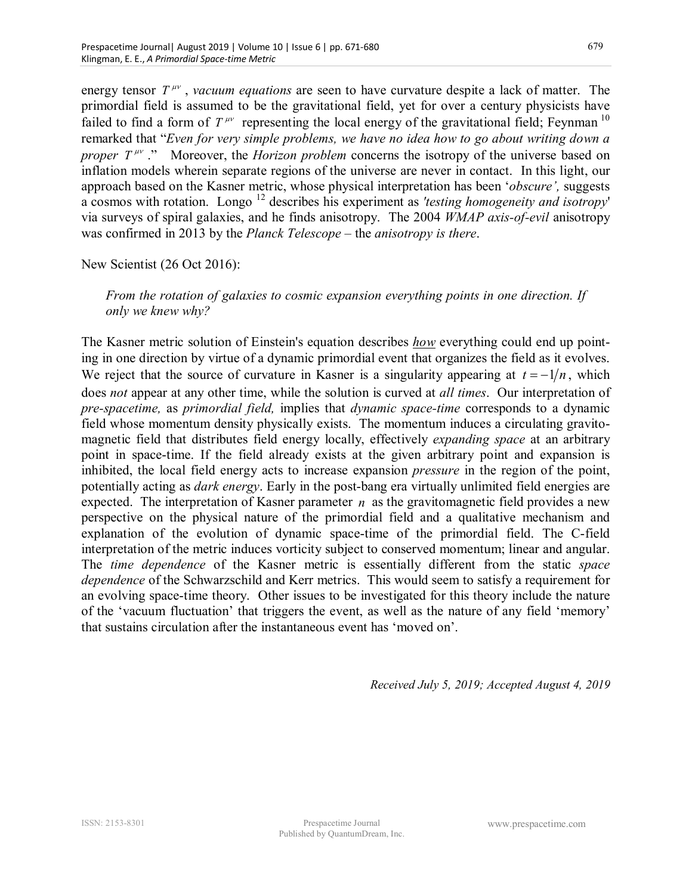energy tensor  $T^{\mu\nu}$ , *vacuum equations* are seen to have curvature despite a lack of matter. The primordial field is assumed to be the gravitational field, yet for over a century physicists have failed to find a form of  $T^{\mu\nu}$  representing the local energy of the gravitational field; Feynman<sup>10</sup> remarked that "*Even for very simple problems, we have no idea how to go about writing down a proper T<sup>'''</sup>*." Moreover, the *Horizon problem* concerns the isotropy of the universe based on inflation models wherein separate regions of the universe are never in contact. In this light, our approach based on the Kasner metric, whose physical interpretation has been '*obscure',* suggests a cosmos with rotation. Longo <sup>12</sup> describes his experiment as *'testing homogeneity and isotropy*' via surveys of spiral galaxies, and he finds anisotropy. The 2004 *WMAP axis-of-evil* anisotropy was confirmed in 2013 by the *Planck Telescope* – the *anisotropy is there*.

New Scientist (26 Oct 2016):

*From the rotation of galaxies to cosmic expansion everything points in one direction. If only we knew why?* 

The Kasner metric solution of Einstein's equation describes *how* everything could end up pointing in one direction by virtue of a dynamic primordial event that organizes the field as it evolves. We reject that the source of curvature in Kasner is a singularity appearing at  $t = -1/n$ , which does *not* appear at any other time, while the solution is curved at *all times*. Our interpretation of *pre-spacetime,* as *primordial field,* implies that *dynamic space-time* corresponds to a dynamic field whose momentum density physically exists. The momentum induces a circulating gravitomagnetic field that distributes field energy locally, effectively *expanding space* at an arbitrary point in space-time. If the field already exists at the given arbitrary point and expansion is inhibited, the local field energy acts to increase expansion *pressure* in the region of the point, potentially acting as *dark energy*. Early in the post-bang era virtually unlimited field energies are expected. The interpretation of Kasner parameter *n* as the gravitomagnetic field provides a new perspective on the physical nature of the primordial field and a qualitative mechanism and explanation of the evolution of dynamic space-time of the primordial field. The C-field interpretation of the metric induces vorticity subject to conserved momentum; linear and angular. The *time dependence* of the Kasner metric is essentially different from the static *space dependence* of the Schwarzschild and Kerr metrics. This would seem to satisfy a requirement for an evolving space-time theory. Other issues to be investigated for this theory include the nature of the 'vacuum fluctuation' that triggers the event, as well as the nature of any field 'memory' that sustains circulation after the instantaneous event has 'moved on'.

*Received July 5, 2019; Accepted August 4, 2019*